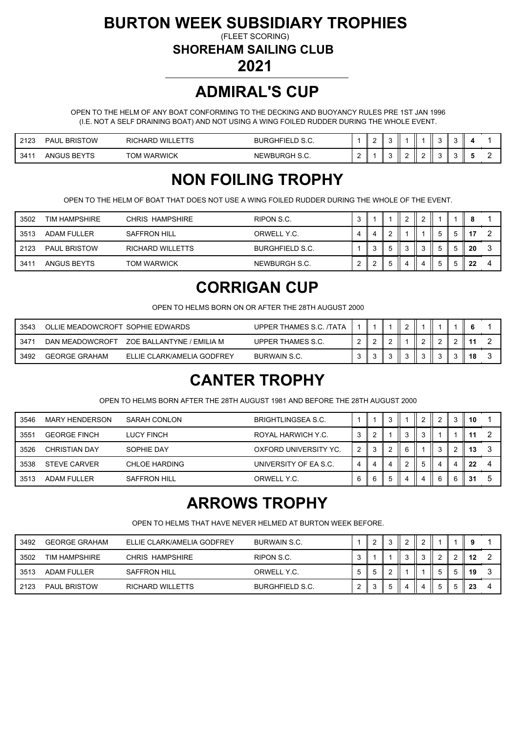#### **BURTON WEEK SUBSIDIARY TROPHIES**

(FLEET SCORING)

**SHOREHAM SAILING CLUB**

**2021**

#### **ADMIRAL'S CUP**

OPEN TO THE HELM OF ANY BOAT CONFORMING TO THE DECKING AND BUOYANCY RULES PRE 1ST JAN 1996 (I.E. NOT A SELF DRAINING BOAT) AND NOT USING A WING FOILED RUDDER DURING THE WHOLE EVENT.

| 2422<br>د ۱ د | . BRISTOW<br><b>PAUL</b>      | <b>RICHARD WILLETTS</b> | <b>BURGHFIELD S.C.</b> |        |  |   |   |  |  |
|---------------|-------------------------------|-------------------------|------------------------|--------|--|---|---|--|--|
| 3411          | ANGUS <sup>®</sup><br>BEYTS ו | <b>TOM WARWICK</b>      | NEWBURGH S.C.          | ∽<br>- |  | - | _ |  |  |

## **NON FOILING TROPHY**

OPEN TO THE HELM OF BOAT THAT DOES NOT USE A WING FOILED RUDDER DURING THE WHOLE OF THE EVENT.

| 3502 | TIM HAMPSHIRE       | CHRIS HAMPSHIRE         | RIPON S.C.             | ◠<br>J |  |  |    |    |  |
|------|---------------------|-------------------------|------------------------|--------|--|--|----|----|--|
| 3513 | <b>ADAM FULLER</b>  | <b>SAFFRON HILL</b>     | ORWELL Y.C.            | д      |  |  | h  |    |  |
| 2123 | <b>PAUL BRISTOW</b> | <b>RICHARD WILLETTS</b> | <b>BURGHFIELD S.C.</b> |        |  |  | .5 | 20 |  |
| 3411 | ANGUS BEYTS         | <b>TOM WARWICK</b>      | NEWBURGH S.C.          | ◠      |  |  | h  | າາ |  |

#### **CORRIGAN CUP**

OPEN TO HELMS BORN ON OR AFTER THE 28TH AUGUST 2000

| 3543 | OLLIE MEADOWCROFT SOPHIE EDWARDS |                            | UPPER THAMES S.C. /TATA |  |  |  |    |  |
|------|----------------------------------|----------------------------|-------------------------|--|--|--|----|--|
| 347' | DAN MEADOWCROFT                  | ZOE BALLANTYNE / EMILIA M  | UPPER THAMES S.C.       |  |  |  |    |  |
| 3492 | <b>GEORGE GRAHAM</b>             | ELLIE CLARK/AMELIA GODFREY | <b>BURWAIN S.C.</b>     |  |  |  | 40 |  |

## **CANTER TROPHY**

OPEN TO HELMS BORN AFTER THE 28TH AUGUST 1981 AND BEFORE THE 28TH AUGUST 2000

| 3546 | <b>MARY HENDERSON</b> | SARAH CONLON         | <b>BRIGHTLINGSEA S.C.</b> |   | ◠            |   |   |  | 10 |          |
|------|-----------------------|----------------------|---------------------------|---|--------------|---|---|--|----|----------|
| 3551 | <b>GEORGE FINCH</b>   | LUCY FINCH           | ROYAL HARWICH Y.C.        | 3 |              | 3 |   |  |    |          |
| 3526 | <b>CHRISTIAN DAY</b>  | SOPHIE DAY           | OXFORD UNIVERSITY YC.     |   |              | 6 |   |  | 13 |          |
| 3538 | <b>STEVE CARVER</b>   | <b>CHLOE HARDING</b> | UNIVERSITY OF EA S.C.     | 4 | 4            |   |   |  | 22 | $\Delta$ |
| 3513 | <b>ADAM FULLER</b>    | SAFFRON HILL         | ORWELL Y.C.               |   | $\mathbf{p}$ |   | 4 |  | 31 |          |

#### **ARROWS TROPHY**

OPEN TO HELMS THAT HAVE NEVER HELMED AT BURTON WEEK BEFORE.

| 3492 | <b>GEORGE GRAHAM</b> | ELLIE CLARK/AMELIA GODFREY | <b>BURWAIN S.C.</b>    |  | ົ |  |  |    |  |
|------|----------------------|----------------------------|------------------------|--|---|--|--|----|--|
| 3502 | TIM HAMPSHIRE        | CHRIS HAMPSHIRE            | RIPON S.C.             |  |   |  |  | 12 |  |
| 3513 | ADAM FULLER          | <b>SAFFRON HILL</b>        | ORWELL Y.C.            |  |   |  |  | 19 |  |
| 2123 | <b>PAUL BRISTOW</b>  | RICHARD WILLETTS           | <b>BURGHFIELD S.C.</b> |  | ັ |  |  | 23 |  |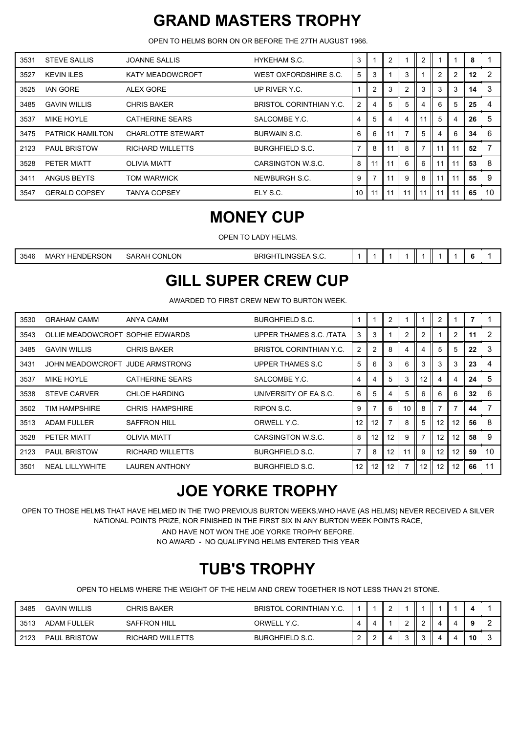## **GRAND MASTERS TROPHY**

OPEN TO HELMS BORN ON OR BEFORE THE 27TH AUGUST 1966.

| 3531 | <b>STEVE SALLIS</b>     | <b>JOANNE SALLIS</b>     | HYKEHAM S.C.                   | 3              |                |    |                | 2  |                |                | 8  |    |
|------|-------------------------|--------------------------|--------------------------------|----------------|----------------|----|----------------|----|----------------|----------------|----|----|
| 3527 | <b>KEVIN ILES</b>       | <b>KATY MEADOWCROFT</b>  | WEST OXFORDSHIRE S.C.          | 5              | 3              |    | 3              |    | $\overline{2}$ | $\overline{2}$ | 12 | 2  |
| 3525 | <b>IAN GORE</b>         | ALEX GORE                | UP RIVER Y.C.                  |                | $\overline{2}$ | 3  | $\overline{2}$ | 3  | 3              | 3              | 14 | 3  |
| 3485 | <b>GAVIN WILLIS</b>     | <b>CHRIS BAKER</b>       | <b>BRISTOL CORINTHIAN Y.C.</b> | $\overline{2}$ |                | 5  | 5              |    | 6              | 5              | 25 | 4  |
| 3537 | MIKE HOYLE              | <b>CATHERINE SEARS</b>   | SALCOMBE Y.C.                  | 4              | 5              | 4  | 4              | 11 | 5              | 4              | 26 | 5  |
| 3475 | <b>PATRICK HAMILTON</b> | <b>CHARLOTTE STEWART</b> | <b>BURWAIN S.C.</b>            | 6              | 6              | 11 |                | 5  | 4              | 6              | 34 | 6  |
| 2123 | <b>PAUL BRISTOW</b>     | <b>RICHARD WILLETTS</b>  | <b>BURGHFIELD S.C.</b>         | 7              | 8              | 11 | 8              |    | 11             | 11             | 52 | 7  |
| 3528 | PETER MIATT             | <b>OLIVIA MIATT</b>      | CARSINGTON W.S.C.              | 8              | 11             | 11 | 6              | 6  | 11             | 11             | 53 | 8  |
| 3411 | ANGUS BEYTS             | <b>TOM WARWICK</b>       | NEWBURGH S.C.                  | 9              | 7              | 11 | 9              | 8  | 11             | 11             | 55 | 9  |
| 3547 | <b>GERALD COPSEY</b>    | TANYA COPSEY             | ELY S.C.                       | 10             |                | 11 | 11             |    |                |                | 65 | 10 |

#### **MONEY CUP**

OPEN TO LADY HELMS.

| ENDERSON<br>3546<br>CONLON<br><b>BRIGHT</b><br>TLINGSEA S.C.<br>MARY<br>SARAH |  |  |  |  |  |  |  |  |  |  |
|-------------------------------------------------------------------------------|--|--|--|--|--|--|--|--|--|--|
|-------------------------------------------------------------------------------|--|--|--|--|--|--|--|--|--|--|

#### **GILL SUPER CREW CUP**

AWARDED TO FIRST CREW NEW TO BURTON WEEK.

| 3530 | <b>GRAHAM CAMM</b>               | ANYA CAMM               | <b>BURGHFIELD S.C.</b>         |                |                | 2  |                |    | 2  |    |    |                |
|------|----------------------------------|-------------------------|--------------------------------|----------------|----------------|----|----------------|----|----|----|----|----------------|
| 3543 | OLLIE MEADOWCROFT SOPHIE EDWARDS |                         | UPPER THAMES S.C. /TATA        | 3              | 3              |    | $\overline{2}$ | ◠  |    | 2  | 11 | $\overline{2}$ |
| 3485 | <b>GAVIN WILLIS</b>              | <b>CHRIS BAKER</b>      | <b>BRISTOL CORINTHIAN Y.C.</b> | $\overline{2}$ | $\overline{2}$ | 8  | 4              |    | 5  |    | 22 | 3              |
| 3431 | JOHN MEADOWCROFT JUDE ARMSTRONG  |                         | UPPER THAMES S.C.              | 5              | 6              | 3  | 6              | 3  | 3  | 3  | 23 | $\overline{4}$ |
| 3537 | <b>MIKE HOYLE</b>                | <b>CATHERINE SEARS</b>  | SALCOMBE Y.C.                  | 4              | 4              | 5  | 3              | 12 | 4  | 4  | 24 | 5              |
| 3538 | <b>STEVE CARVER</b>              | <b>CHLOE HARDING</b>    | UNIVERSITY OF EA S.C.          | 6              | 5              | 4  | 5              | 6  | 6  | 6  | 32 | 6              |
| 3502 | TIM HAMPSHIRE                    | CHRIS HAMPSHIRE         | RIPON S.C.                     | 9              |                | 6  | 10             | 8  |    |    | 44 |                |
| 3513 | <b>ADAM FULLER</b>               | <b>SAFFRON HILL</b>     | ORWELL Y.C.                    | 12             | 12             |    | 8              | 5  | 12 | 12 | 56 | 8              |
| 3528 | PETER MIATT                      | <b>OLIVIA MIATT</b>     | CARSINGTON W.S.C.              | 8              | 12             | 12 | 9              |    | 12 | 12 | 58 | 9              |
| 2123 | <b>PAUL BRISTOW</b>              | <b>RICHARD WILLETTS</b> | <b>BURGHFIELD S.C.</b>         | $\overline{7}$ | 8              | 12 | 11             | 9  | 12 | 12 | 59 | 10             |
| 3501 | <b>NEAL LILLYWHITE</b>           | <b>LAUREN ANTHONY</b>   | <b>BURGHFIELD S.C.</b>         | 12             | 12             | 12 |                | 12 | 12 | 12 | 66 | 11             |

## **JOE YORKE TROPHY**

OPEN TO THOSE HELMS THAT HAVE HELMED IN THE TWO PREVIOUS BURTON WEEKS,WHO HAVE (AS HELMS) NEVER RECEIVED A SILVER NATIONAL POINTS PRIZE, NOR FINISHED IN THE FIRST SIX IN ANY BURTON WEEK POINTS RACE,

AND HAVE NOT WON THE JOE YORKE TROPHY BEFORE.

NO AWARD - NO QUALIFYING HELMS ENTERED THIS YEAR

## **TUB'S TROPHY**

OPEN TO HELMS WHERE THE WEIGHT OF THE HELM AND CREW TOGETHER IS NOT LESS THAN 21 STONE.

| 3485 | <b>GAVIN WILLIS</b> | CHRIS BAKER      | <b>BRISTOL CORINTHIAN Y.C.</b> |   |  |  |  |    |  |
|------|---------------------|------------------|--------------------------------|---|--|--|--|----|--|
| 3513 | ADAM FULLER         | SAFFRON HILL     | ORWELL Y.C.                    | 4 |  |  |  |    |  |
| 2123 | <b>PAUL BRISTOW</b> | RICHARD WILLETTS | <b>BURGHFIELD S.C.</b>         |   |  |  |  | 10 |  |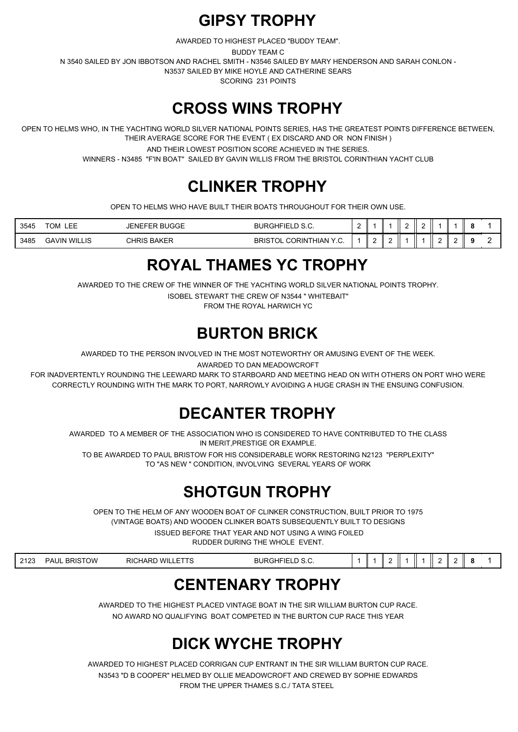#### **GIPSY TROPHY**

AWARDED TO HIGHEST PLACED "BUDDY TEAM".

BUDDY TEAM C

N 3540 SAILED BY JON IBBOTSON AND RACHEL SMITH - N3546 SAILED BY MARY HENDERSON AND SARAH CONLON -

N3537 SAILED BY MIKE HOYLE AND CATHERINE SEARS

SCORING 231 POINTS

#### **CROSS WINS TROPHY**

OPEN TO HELMS WHO, IN THE YACHTING WORLD SILVER NATIONAL POINTS SERIES, HAS THE GREATEST POINTS DIFFERENCE BETWEEN, THEIR AVERAGE SCORE FOR THE EVENT ( EX DISCARD AND OR NON FINISH )

AND THEIR LOWEST POSITION SCORE ACHIEVED IN THE SERIES.

WINNERS - N3485 "F'IN BOAT" SAILED BY GAVIN WILLIS FROM THE BRISTOL CORINTHIAN YACHT CLUB

## **CLINKER TROPHY**

OPEN TO HELMS WHO HAVE BUILT THEIR BOATS THROUGHOUT FOR THEIR OWN USE.

| 3545 | --<br><b>TO:</b><br>--<br>UM.<br>ᄂᄂᄂ | <b>BUGGE</b><br>-NFFFR | <b>BURGHFIEL</b><br>◡.◡.<br>--              |  | - |  |  |  |
|------|--------------------------------------|------------------------|---------------------------------------------|--|---|--|--|--|
| 3485 | <b>GAVIN WILLIS</b>                  | <b>BAKEF</b><br>CHRIS  | <b>BRIST</b><br>. CORINTHIAN `<br>ÜL<br>. ب |  |   |  |  |  |

## **ROYAL THAMES YC TROPHY**

AWARDED TO THE CREW OF THE WINNER OF THE YACHTING WORLD SILVER NATIONAL POINTS TROPHY.

ISOBEL STEWART THE CREW OF N3544 " WHITEBAIT"

FROM THE ROYAL HARWICH YC

## **BURTON BRICK**

AWARDED TO THE PERSON INVOLVED IN THE MOST NOTEWORTHY OR AMUSING EVENT OF THE WEEK.

AWARDED TO DAN MEADOWCROFT

FOR INADVERTENTLY ROUNDING THE LEEWARD MARK TO STARBOARD AND MEETING HEAD ON WITH OTHERS ON PORT WHO WERE CORRECTLY ROUNDING WITH THE MARK TO PORT, NARROWLY AVOIDING A HUGE CRASH IN THE ENSUING CONFUSION.

# **DECANTER TROPHY**

AWARDED TO A MEMBER OF THE ASSOCIATION WHO IS CONSIDERED TO HAVE CONTRIBUTED TO THE CLASS IN MERIT,PRESTIGE OR EXAMPLE.

TO BE AWARDED TO PAUL BRISTOW FOR HIS CONSIDERABLE WORK RESTORING N2123 "PERPLEXITY" TO "AS NEW " CONDITION, INVOLVING SEVERAL YEARS OF WORK

# **SHOTGUN TROPHY**

OPEN TO THE HELM OF ANY WOODEN BOAT OF CLINKER CONSTRUCTION, BUILT PRIOR TO 1975 (VINTAGE BOATS) AND WOODEN CLINKER BOATS SUBSEQUENTLY BUILT TO DESIGNS

ISSUED BEFORE THAT YEAR AND NOT USING A WING FOILED

RUDDER DURING THE WHOLE EVENT.

| 0.40c<br>_ | `OW<br>PAUL<br><b>DDIC</b><br>DRK. | -----<br>WII<br>ז הי<br>. 311<br>. .<br>$\cdots$<br>ъ,<br>АL | י ה<br>- 1 5<br>-<br>our<br>ш |  |  |  |  |  | - |  |  |  |
|------------|------------------------------------|--------------------------------------------------------------|-------------------------------|--|--|--|--|--|---|--|--|--|
|------------|------------------------------------|--------------------------------------------------------------|-------------------------------|--|--|--|--|--|---|--|--|--|

## **CENTENARY TROPHY**

AWARDED TO THE HIGHEST PLACED VINTAGE BOAT IN THE SIR WILLIAM BURTON CUP RACE. NO AWARD NO QUALIFYING BOAT COMPETED IN THE BURTON CUP RACE THIS YEAR

## **DICK WYCHE TROPHY**

AWARDED TO HIGHEST PLACED CORRIGAN CUP ENTRANT IN THE SIR WILLIAM BURTON CUP RACE. N3543 "D B COOPER" HELMED BY OLLIE MEADOWCROFT AND CREWED BY SOPHIE EDWARDS FROM THE UPPER THAMES S.C./ TATA STEEL